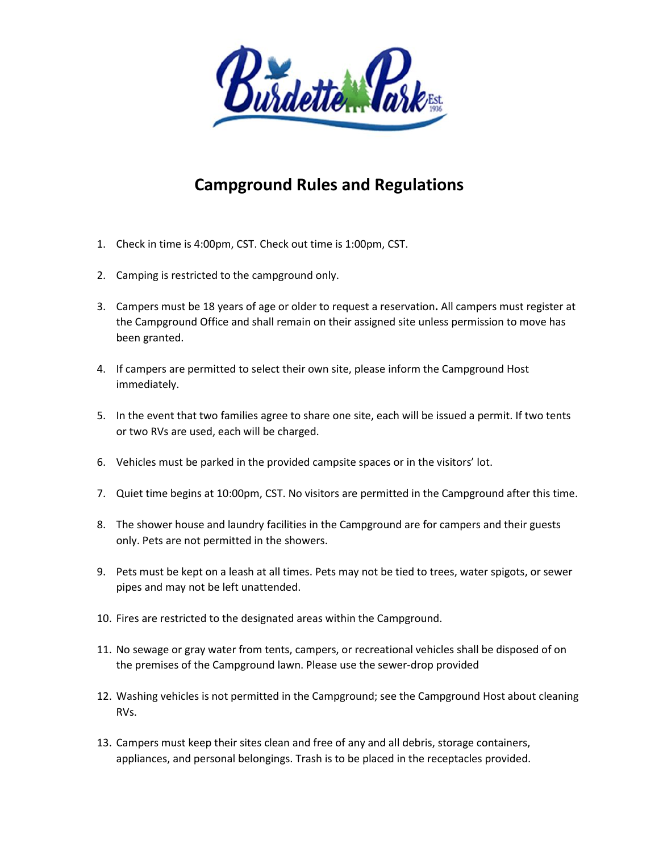

## **Campground Rules and Regulations**

- 1. Check in time is 4:00pm, CST. Check out time is 1:00pm, CST.
- 2. Camping is restricted to the campground only.
- 3. Campers must be 18 years of age or older to request a reservation**.** All campers must register at the Campground Office and shall remain on their assigned site unless permission to move has been granted.
- 4. If campers are permitted to select their own site, please inform the Campground Host immediately.
- 5. In the event that two families agree to share one site, each will be issued a permit. If two tents or two RVs are used, each will be charged.
- 6. Vehicles must be parked in the provided campsite spaces or in the visitors' lot.
- 7. Quiet time begins at 10:00pm, CST. No visitors are permitted in the Campground after this time.
- 8. The shower house and laundry facilities in the Campground are for campers and their guests only. Pets are not permitted in the showers.
- 9. Pets must be kept on a leash at all times. Pets may not be tied to trees, water spigots, or sewer pipes and may not be left unattended.
- 10. Fires are restricted to the designated areas within the Campground.
- 11. No sewage or gray water from tents, campers, or recreational vehicles shall be disposed of on the premises of the Campground lawn. Please use the sewer-drop provided
- 12. Washing vehicles is not permitted in the Campground; see the Campground Host about cleaning RVs.
- 13. Campers must keep their sites clean and free of any and all debris, storage containers, appliances, and personal belongings. Trash is to be placed in the receptacles provided.